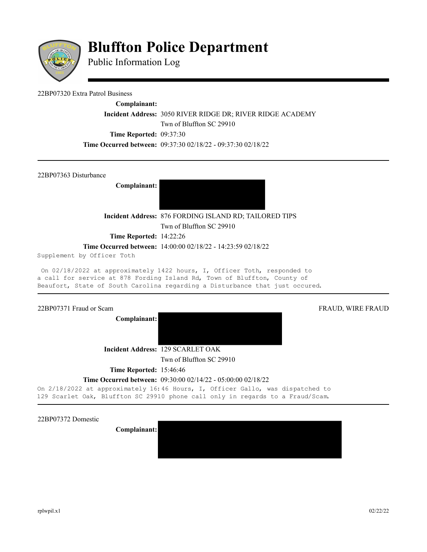

# **Bluffton Police Department**

Public Information Log

# 22BP07320 Extra Patrol Business

**Complainant: Incident Address:** 3050 RIVER RIDGE DR; RIVER RIDGE ACADEMY Twn of Bluffton SC 29910 **Time Reported: 09:37:30** 

**Time Occurred between:** 09:37:30 02/18/22 - 09:37:30 02/18/22

22BP07363 Disturbance

**Complainant:** 



**Incident Address:** 876 FORDING ISLAND RD; TAILORED TIPS Twn of Bluffton SC 29910

**Time Reported:** 14:22:26

**Time Occurred between:** 14:00:00 02/18/22 - 14:23:59 02/18/22

Supplement by Officer Toth

On 02/18/2022 at approximately 1422 hours, I, Officer Toth, responded to a call for service at 878 Fording Island Rd, Town of Bluffton, County of Beaufort, State of South Carolina regarding a Disturbance that just occured.

### 22BP07371 Fraud or Scam FRAUD, WIRE FRAUD, WIRE FRAUD, WIRE FRAUD, WIRE FRAUD, WIRE FRAUD, WIRE FRAUD, WIRE FRAUD

**Complainant:**

**Incident Address:** 129 SCARLET OAK

Twn of Bluffton SC 29910

**Time Reported:** 15:46:46

# **Time Occurred between:** 09:30:00 02/14/22 - 05:00:00 02/18/22

On 2/18/2022 at approximately 16:46 Hours, I, Officer Gallo, was dispatched to 129 Scarlet Oak, Bluffton SC 29910 phone call only in regards to a Fraud/Scam.

22BP07372 Domestic

**Complainant:**

rplwpil.x1 02/22/22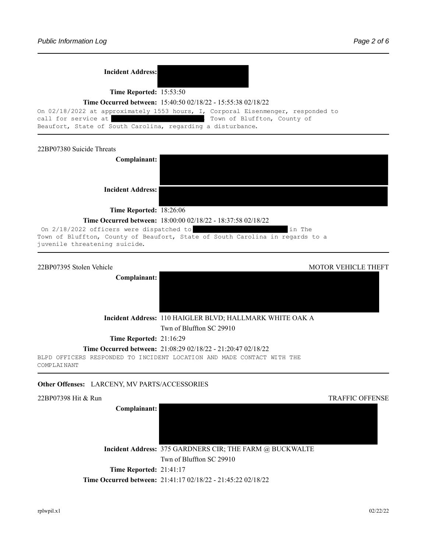| <b>Incident Address:</b>                                                                                                                                                           |                            |
|------------------------------------------------------------------------------------------------------------------------------------------------------------------------------------|----------------------------|
|                                                                                                                                                                                    |                            |
| <b>Time Reported: 15:53:50</b><br>Time Occurred between: 15:40:50 02/18/22 - 15:55:38 02/18/22<br>On 02/18/2022 at approximately 1553 hours, I, Corporal Eisenmenger, responded to |                            |
|                                                                                                                                                                                    |                            |
| 22BP07380 Suicide Threats                                                                                                                                                          |                            |
| Complainant:                                                                                                                                                                       |                            |
|                                                                                                                                                                                    |                            |
| <b>Incident Address:</b>                                                                                                                                                           |                            |
|                                                                                                                                                                                    |                            |
| Time Reported: 18:26:06                                                                                                                                                            |                            |
| Time Occurred between: 18:00:00 02/18/22 - 18:37:58 02/18/22                                                                                                                       |                            |
| On 2/18/2022 officers were dispatched to<br>Town of Bluffton, County of Beaufort, State of South Carolina in regards to a<br>juvenile threatening suicide.                         | in The                     |
| 22BP07395 Stolen Vehicle                                                                                                                                                           | <b>MOTOR VEHICLE THEFT</b> |
| Complainant:                                                                                                                                                                       |                            |
| Incident Address: 110 HAIGLER BLVD; HALLMARK WHITE OAK A                                                                                                                           |                            |
| Twn of Bluffton SC 29910                                                                                                                                                           |                            |
| Time Reported: 21:16:29                                                                                                                                                            |                            |
| Time Occurred between: 21:08:29 02/18/22 - 21:20:47 02/18/22                                                                                                                       |                            |
| BLPD OFFICERS RESPONDED TO INCIDENT LOCATION AND MADE CONTACT WITH THE<br>COMPLAINANT                                                                                              |                            |
| Other Offenses: LARCENY, MV PARTS/ACCESSORIES                                                                                                                                      |                            |
| 22BP07398 Hit & Run                                                                                                                                                                | <b>TRAFFIC OFFENSE</b>     |

**Complainant: Incident Address:** 375 GARDNERS CIR; THE FARM @ BUCKWALTE

Twn of Bluffton SC 29910

**Time Reported:** 21:41:17

**Time Occurred between:** 21:41:17 02/18/22 - 21:45:22 02/18/22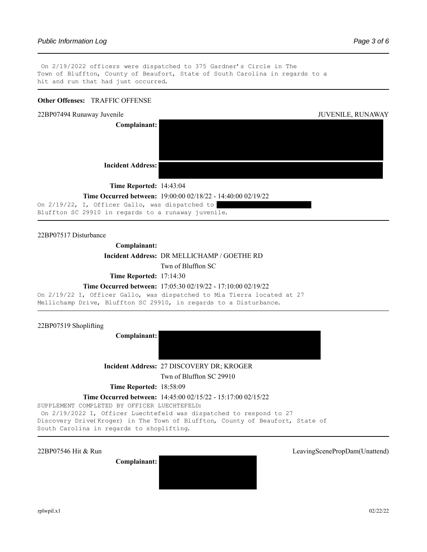On 2/19/2022 officers were dispatched to 375 Gardner's Circle in The Town of Bluffton, County of Beaufort, State of South Carolina in regards to a hit and run that had just occurred.

# **Other Offenses: TRAFFIC OFFENSE**



**Time Occurred between:** 19:00:00 02/18/22 - 14:40:00 02/19/22

On 2/19/22, I, Officer Gallo, was dispatched to Bluffton SC 29910 in regards to a runaway juvenile.

22BP07517 Disturbance

# **Complainant:**

# **Incident Address:** DR MELLICHAMP / GOETHE RD

Twn of Bluffton SC

**Time Reported:** 17:14:30

### **Time Occurred between:** 17:05:30 02/19/22 - 17:10:00 02/19/22

On 2/19/22 I, Officer Gallo, was dispatched to Mia Tierra located at 27 Mellichamp Drive, Bluffton SC 29910, in regards to a Disturbance.

22BP07519 Shoplifting

**Complainant:** 

**Incident Address:** 27 DISCOVERY DR; KROGER

Twn of Bluffton SC 29910

**Time Reported:** 18:58:09

### **Time Occurred between:** 14:45:00 02/15/22 - 15:17:00 02/15/22

SUPPLEMENT COMPLETED BY OFFICER LUECHTEFELD: On 2/19/2022 I, Officer Luechtefeld was dispatched to respond to 27 Discovery Drive(Kroger) in The Town of Bluffton, County of Beaufort, State of South Carolina in regards to shoplifting.

**Complainant:** 

22BP07546 Hit & Run LeavingScenePropDam(Unattend)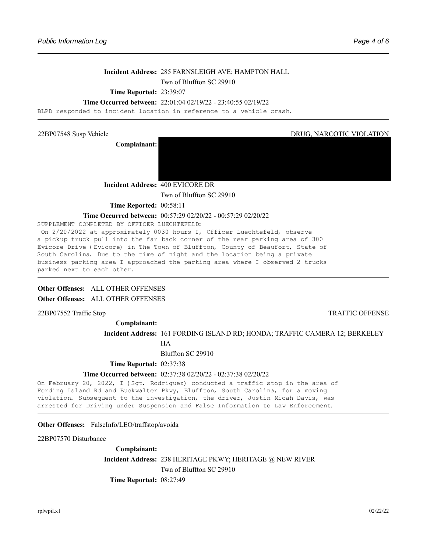# **Incident Address:** 285 FARNSLEIGH AVE; HAMPTON HALL

Twn of Bluffton SC 29910

# **Time Reported:** 23:39:07

#### **Time Occurred between:** 22:01:04 02/19/22 - 23:40:55 02/19/22

BLPD responded to incident location in reference to a vehicle crash.

**Complainant:** 

# 22BP07548 Susp Vehicle DRUG, NARCOTIC VIOLATION

**Incident Address:** 400 EVICORE DR

Twn of Bluffton SC 29910

**Time Reported: 00:58:11** 

#### **Time Occurred between:** 00:57:29 02/20/22 - 00:57:29 02/20/22

SUPPLEMENT COMPLETED BY OFFICER LUECHTEFELD: On 2/20/2022 at approximately 0030 hours I, Officer Luechtefeld, observe a pickup truck pull into the far back corner of the rear parking area of 300 Evicore Drive (Evicore) in The Town of Bluffton, County of Beaufort, State of South Carolina. Due to the time of night and the location being a private business parking area I approached the parking area where I observed 2 trucks parked next to each other.

# **Other Offenses:**  ALL OTHER OFFENSES **Other Offenses:**  ALL OTHER OFFENSES

22BP07552 Traffic Stop TRAFFIC OFFENSE

### **Complainant:**

**Incident Address:** 161 FORDING ISLAND RD; HONDA; TRAFFIC CAMERA 12; BERKELEY

HA

Bluffton SC 29910

# **Time Reported: 02:37:38**

### **Time Occurred between:** 02:37:38 02/20/22 - 02:37:38 02/20/22

On February 20, 2022, I (Sgt. Rodriguez) conducted a traffic stop in the area of Fording Island Rd and Buckwalter Pkwy, Bluffton, South Carolina, for a moving violation. Subsequent to the investigation, the driver, Justin Micah Davis, was arrested for Driving under Suspension and False Information to Law Enforcement.

Other Offenses: FalseInfo/LEO/traffstop/avoida

22BP07570 Disturbance

**Complainant: Incident Address:** 238 HERITAGE PKWY; HERITAGE @ NEW RIVER Twn of Bluffton SC 29910 **Time Reported:** 08:27:49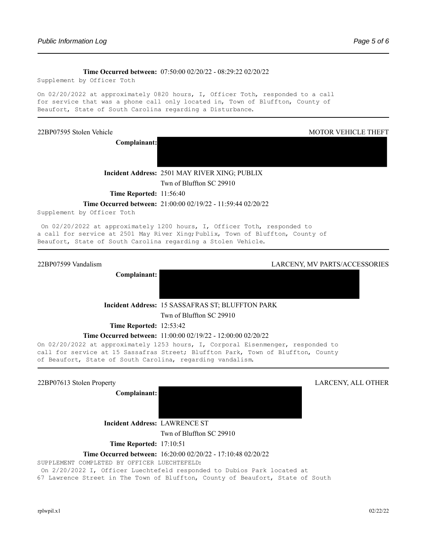#### **Time Occurred between:** 07:50:00 02/20/22 - 08:29:22 02/20/22

Supplement by Officer Toth

On 02/20/2022 at approximately 0820 hours, I, Officer Toth, responded to a call for service that was a phone call only located in, Town of Bluffton, County of Beaufort, State of South Carolina regarding a Disturbance.

**Complainant:**

#### 22BP07595 Stolen Vehicle MOTOR VEHICLE THEFT

**Incident Address:** 2501 MAY RIVER XING; PUBLIX Twn of Bluffton SC 29910

**Time Reported:** 11:56:40

#### **Time Occurred between:** 21:00:00 02/19/22 - 11:59:44 02/20/22

Supplement by Officer Toth

On 02/20/2022 at approximately 1200 hours, I, Officer Toth, responded to a call for service at 2501 May River Xing;Publix, Town of Bluffton, County of Beaufort, State of South Carolina regarding a Stolen Vehicle.

**Complainant:** 

#### 22BP07599 Vandalism LARCENY, MV PARTS/ACCESSORIES

**Incident Address:** 15 SASSAFRAS ST; BLUFFTON PARK

Twn of Bluffton SC 29910

**Time Reported: 12:53:42** 

#### **Time Occurred between:** 11:00:00 02/19/22 - 12:00:00 02/20/22

On 02/20/2022 at approximately 1253 hours, I, Corporal Eisenmenger, responded to call for service at 15 Sassafras Street; Bluffton Park, Town of Bluffton, County of Beaufort, State of South Carolina, regarding vandalism.

**Complainant:** 



**Incident Address:** LAWRENCE ST

Twn of Bluffton SC 29910

**Time Reported:** 17:10:51

#### **Time Occurred between:** 16:20:00 02/20/22 - 17:10:48 02/20/22

SUPPLEMENT COMPLETED BY OFFICER LUECHTEFELD:

On 2/20/2022 I, Officer Luechtefeld responded to Dubios Park located at

67 Lawrence Street in The Town of Bluffton, County of Beaufort, State of South